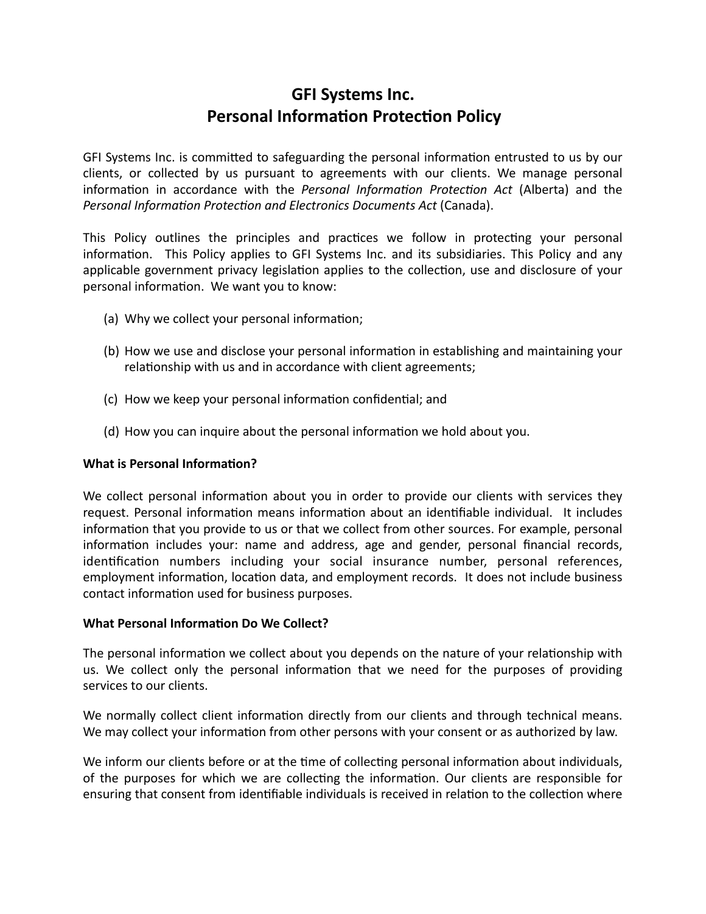# **GFI Systems Inc. Personal Information Protection Policy**

GFI Systems Inc. is committed to safeguarding the personal information entrusted to us by our clients, or collected by us pursuant to agreements with our clients. We manage personal information in accordance with the *Personal Information Protection Act* (Alberta) and the *Personal Information Protection and Electronics Documents Act (Canada).* 

This Policy outlines the principles and practices we follow in protecting your personal information. This Policy applies to GFI Systems Inc. and its subsidiaries. This Policy and any applicable government privacy legislation applies to the collection, use and disclosure of your personal information. We want you to know:

- (a) Why we collect your personal information;
- (b) How we use and disclose your personal information in establishing and maintaining your relationship with us and in accordance with client agreements;
- (c) How we keep your personal information confidential; and
- (d) How you can inquire about the personal information we hold about you.

# **What is Personal Information?**

We collect personal information about you in order to provide our clients with services they request. Personal information means information about an identifiable individual. It includes information that you provide to us or that we collect from other sources. For example, personal information includes your: name and address, age and gender, personal financial records, identification numbers including your social insurance number, personal references, employment information, location data, and employment records. It does not include business contact information used for business purposes.

# **What Personal Information Do We Collect?**

The personal information we collect about you depends on the nature of your relationship with us. We collect only the personal information that we need for the purposes of providing services to our clients.

We normally collect client information directly from our clients and through technical means. We may collect your information from other persons with your consent or as authorized by law.

We inform our clients before or at the time of collecting personal information about individuals, of the purposes for which we are collecting the information. Our clients are responsible for ensuring that consent from identifiable individuals is received in relation to the collection where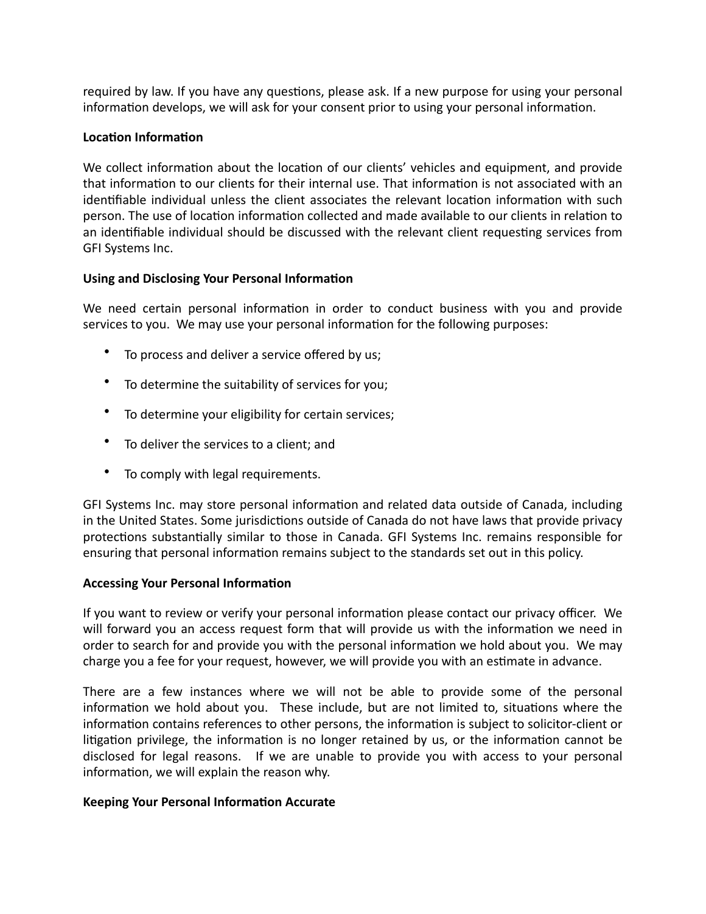required by law. If you have any questions, please ask. If a new purpose for using your personal information develops, we will ask for your consent prior to using your personal information.

#### **Location Information**

We collect information about the location of our clients' vehicles and equipment, and provide that information to our clients for their internal use. That information is not associated with an identifiable individual unless the client associates the relevant location information with such person. The use of location information collected and made available to our clients in relation to an identifiable individual should be discussed with the relevant client requesting services from GFI Systems Inc.

#### **Using and Disclosing Your Personal Information**

We need certain personal information in order to conduct business with you and provide services to you. We may use your personal information for the following purposes:

- To process and deliver a service offered by us;
- To determine the suitability of services for you;
- To determine your eligibility for certain services;
- To deliver the services to a client; and
- To comply with legal requirements.

GFI Systems Inc. may store personal information and related data outside of Canada, including in the United States. Some jurisdictions outside of Canada do not have laws that provide privacy protections substantially similar to those in Canada. GFI Systems Inc. remains responsible for ensuring that personal information remains subject to the standards set out in this policy.

# **Accessing Your Personal Information**

If you want to review or verify your personal information please contact our privacy officer. We will forward you an access request form that will provide us with the information we need in order to search for and provide you with the personal information we hold about you. We may charge you a fee for your request, however, we will provide you with an estimate in advance.

There are a few instances where we will not be able to provide some of the personal information we hold about you. These include, but are not limited to, situations where the information contains references to other persons, the information is subject to solicitor-client or litigation privilege, the information is no longer retained by us, or the information cannot be disclosed for legal reasons. If we are unable to provide you with access to your personal information, we will explain the reason why.

#### **Keeping Your Personal Information Accurate**